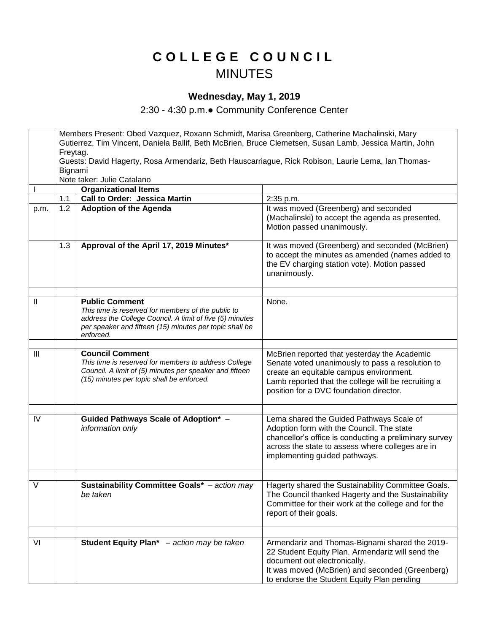## **C O L L E G E C O U N C I L** MINUTES

## **Wednesday, May 1, 2019**

2:30 - 4:30 p.m.● Community Conference Center

|               | Members Present: Obed Vazquez, Roxann Schmidt, Marisa Greenberg, Catherine Machalinski, Mary<br>Gutierrez, Tim Vincent, Daniela Ballif, Beth McBrien, Bruce Clemetsen, Susan Lamb, Jessica Martin, John |                                                                                                                                                                                                                 |                                                                                                                                                                                                                                               |
|---------------|---------------------------------------------------------------------------------------------------------------------------------------------------------------------------------------------------------|-----------------------------------------------------------------------------------------------------------------------------------------------------------------------------------------------------------------|-----------------------------------------------------------------------------------------------------------------------------------------------------------------------------------------------------------------------------------------------|
|               | Freytag.                                                                                                                                                                                                |                                                                                                                                                                                                                 |                                                                                                                                                                                                                                               |
|               | Guests: David Hagerty, Rosa Armendariz, Beth Hauscarriague, Rick Robison, Laurie Lema, Ian Thomas-                                                                                                      |                                                                                                                                                                                                                 |                                                                                                                                                                                                                                               |
|               | Bignami                                                                                                                                                                                                 |                                                                                                                                                                                                                 |                                                                                                                                                                                                                                               |
|               |                                                                                                                                                                                                         | Note taker: Julie Catalano                                                                                                                                                                                      |                                                                                                                                                                                                                                               |
|               |                                                                                                                                                                                                         | <b>Organizational Items</b>                                                                                                                                                                                     |                                                                                                                                                                                                                                               |
|               | 1.1                                                                                                                                                                                                     | <b>Call to Order: Jessica Martin</b>                                                                                                                                                                            | 2:35 p.m.                                                                                                                                                                                                                                     |
| p.m.          | 1.2                                                                                                                                                                                                     | <b>Adoption of the Agenda</b>                                                                                                                                                                                   | It was moved (Greenberg) and seconded<br>(Machalinski) to accept the agenda as presented.<br>Motion passed unanimously.                                                                                                                       |
|               | 1.3                                                                                                                                                                                                     | Approval of the April 17, 2019 Minutes*                                                                                                                                                                         | It was moved (Greenberg) and seconded (McBrien)<br>to accept the minutes as amended (names added to<br>the EV charging station vote). Motion passed<br>unanimously.                                                                           |
|               |                                                                                                                                                                                                         |                                                                                                                                                                                                                 |                                                                                                                                                                                                                                               |
| $\mathbf{II}$ |                                                                                                                                                                                                         | <b>Public Comment</b><br>This time is reserved for members of the public to<br>address the College Council. A limit of five (5) minutes<br>per speaker and fifteen (15) minutes per topic shall be<br>enforced. | None.                                                                                                                                                                                                                                         |
|               |                                                                                                                                                                                                         |                                                                                                                                                                                                                 |                                                                                                                                                                                                                                               |
| III           |                                                                                                                                                                                                         | <b>Council Comment</b><br>This time is reserved for members to address College<br>Council. A limit of (5) minutes per speaker and fifteen<br>(15) minutes per topic shall be enforced.                          | McBrien reported that yesterday the Academic<br>Senate voted unanimously to pass a resolution to<br>create an equitable campus environment.<br>Lamb reported that the college will be recruiting a<br>position for a DVC foundation director. |
|               |                                                                                                                                                                                                         |                                                                                                                                                                                                                 |                                                                                                                                                                                                                                               |
| IV            |                                                                                                                                                                                                         | Guided Pathways Scale of Adoption* -<br>information only                                                                                                                                                        | Lema shared the Guided Pathways Scale of<br>Adoption form with the Council. The state<br>chancellor's office is conducting a preliminary survey<br>across the state to assess where colleges are in<br>implementing guided pathways.          |
|               |                                                                                                                                                                                                         |                                                                                                                                                                                                                 |                                                                                                                                                                                                                                               |
| $\vee$        |                                                                                                                                                                                                         | <b>Sustainability Committee Goals*</b> - action may<br>be taken                                                                                                                                                 | Hagerty shared the Sustainability Committee Goals.<br>The Council thanked Hagerty and the Sustainability<br>Committee for their work at the college and for the<br>report of their goals.                                                     |
|               |                                                                                                                                                                                                         |                                                                                                                                                                                                                 |                                                                                                                                                                                                                                               |
| VI            |                                                                                                                                                                                                         | Student Equity Plan* - action may be taken                                                                                                                                                                      | Armendariz and Thomas-Bignami shared the 2019-<br>22 Student Equity Plan. Armendariz will send the<br>document out electronically.<br>It was moved (McBrien) and seconded (Greenberg)<br>to endorse the Student Equity Plan pending           |